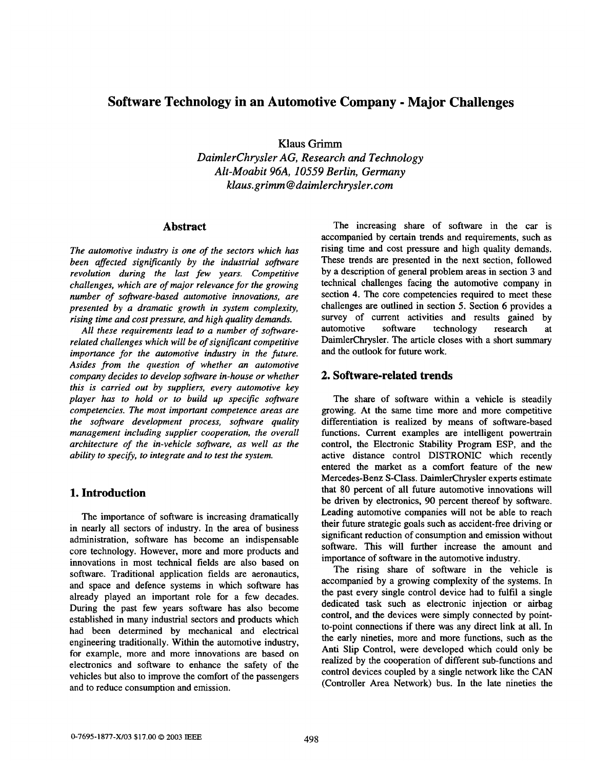# **Software Technology in an Automotive Company - Major Challenges**

Klaus Grimm

*DaimlerChrysler AG, Research and Technology Alt-Moabit 96A, 10559 Berlin, Germany klaus, grimm @ daimlerchrysler.com* 

#### **Abstract**

*The automotive industry is one of the sectors which has been affected significantly by the industrial software revolution during the last few years. Competitive challenges, which are of major relevance for the growing number of software-based automotive innovations, are presented by a dramatic growth in system complexity, rising time and cost pressure, and high quality demands.* 

*All these requirements lead to a number of softwarerelated challenges which will be of significant competitive importance for the automotive industry in the future. Asides from the question of whether an automotive company decides to develop software in-house or whether this is carried out by suppliers, every automotive key player has to hold or to build up specific software competencies. The most important competence areas are the software development process, software quality management including supplier cooperation, the overall architecture of the in-vehicle software, as well as the ability to specify, to integrate and to test the system.* 

### **1. Introduction**

The importance of software is increasing dramatically in nearly all sectors of industry. In the area of business administration, software has become an indispensable core technology. However, more and more products and innovations in most technical fields are also based on software. Traditional application fields are aeronautics, and space and defence systems in which software has already played an important role for a few decades. During the past few years software has also become established in many industrial sectors and products which had been determined by mechanical and electrical engineering traditionally. Within the automotive industry, for example, more and more innovations are based on electronics and software to enhance the safety of the vehicles but also to improve the comfort of the passengers and to reduce consumption and emission.

The increasing share of software in the car is accompanied by certain trends and requirements, such as rising time and cost pressure and high quality demands. These trends are presented in the next section, followed by a description of general problem areas in section 3 and technical challenges facing the automotive company in section 4. The core competencies required to meet these challenges are outlined in section 5. Section 6 provides a survey of current activities and results gained by automotive software technology research at DaimlerChrysler. The article closes with a short summary and the outlook for future work.

# **2. Software-related trends**

The share of software within a vehicle is steadily growing. At the same time more and more competitive differentiation is realized by means of software-based functions. Current examples are intelligent powertrain control, the Electronic Stability Program ESP, and the active distance control DISTRONIC which recently entered the market as a comfort feature of the new Mercedes-Benz S-Class. DaimlerChrysler experts estimate that 80 percent of all future automotive innovations will be driven by electronics, 90 percent thereof by software. Leading automotive companies will not be able to reach their future strategic goals such as accident-free driving or significant reduction of consumption and emission without software. This will further increase the amount and importance of software in the automotive industry.

The rising share of software in the vehicle is accompanied by a growing complexity of the systems. In the past every single control device had to fulfil a single dedicated task such as electronic injection or airbag control, and the devices were simply connected by pointto-point connections if there was any direct link at all. In the early nineties, more and more functions, such as the Anti Slip Control, were developed which could only be realized by the cooperation of different sub-functions and control devices coupled by a single network like the CAN (Controller Area Network) bus. In the late nineties the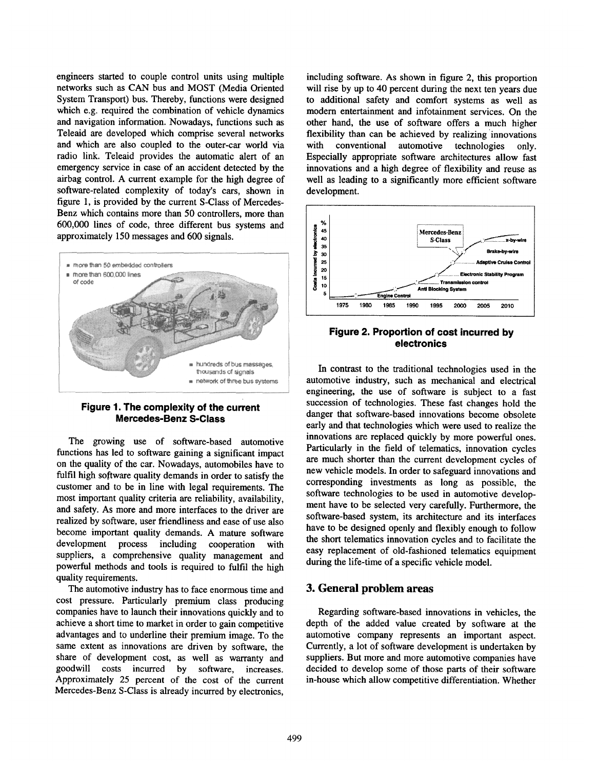engineers started to couple control units using multiple networks such as CAN bus and MOST (Media Oriented System Transport) bus. Thereby, functions were designed which e.g. required the combination of vehicle dynamics and navigation information. Nowadays, functions such as Teleaid are developed which comprise several networks and which are also coupled to the outer-car world via radio link. Teleaid provides the automatic alert of an emergency service in case of an accident detected by the airbag control. A current example for the high degree of software-related complexity of today's cars, shown in figure 1, is provided by the current S-Class of Mercedes-Benz which contains more than 50 controllers, more than 600,000 lines of code, three different bus systems and approximately 150 messages and 600 signals.





The growing use of software-based automotive functions has led to software gaining a significant impact on the quality of the car. Nowadays, automobiles have to fulfil high software quality demands in order to satisfy the customer and to be in line with legal requirements. The most important quality criteria are reliability, availability, and safety. As more and more interfaces to the driver are realized by software, user friendliness and ease of use also become important quality demands. A mature software development process including cooperation with suppliers, a comprehensive quality management and powerful methods and tools is required to fulfil the high quality requirements.

The automotive industry has to face enormous time and cost pressure. Particularly premium class producing companies have to launch their innovations quickly and to achieve a short time to market in order to gain competitive advantages and to underline their premium image. To the same extent as innovations are driven by software, the share of development cost, as well as warranty and goodwill costs incurred by software, increases. Approximately 25 percent of the cost of the current Mercedes-Benz S-Class is already incurred by electronics,

including software. As shown in figure 2, this proportion will rise by up to 40 percent during the next ten years due to additional safety and comfort systems as well as modem entertainment and infotainment services. On the other hand, the use of software offers a much higher flexibility than can be achieved by realizing innovations with conventional automotive technologies only. Especially appropriate software architectures allow fast innovations and a high degree of flexibility and reuse as well as leading to a significantly more efficient software development.



**Figure 2. Proportion of cost incurred by electronics** 

In contrast to the traditional technologies used in the automotive industry, such as mechanical and electrical engineering, the use of software is subject to a fast succession of technologies. These fast changes hold the danger that software-based innovations become obsolete early and that technologies which were used to realize the innovations are replaced quickly by more powerful ones. Particularly in the field of telematics, innovation cycles are much shorter than the current development cycles of new vehicle models. In order to safeguard innovations and corresponding investments as long as possible, the software technologies to be used in automotive development have to be selected very carefully. Furthermore, the software-based system, its architecture and its interfaces have to be designed openly and flexibly enough to follow the short telematics innovation cycles and to facilitate the easy replacement of old-fashioned telematics equipment during the life-time of a specific vehicle model.

### **3. General problem areas**

Regarding software-based innovations in vehicles, the depth of the added value created by software at the automotive company represents an important aspect. Currently, a lot of software development is undertaken by suppliers. But more and more automotive companies have decided to develop some of those parts of their software in-house which allow competitive differentiation. Whether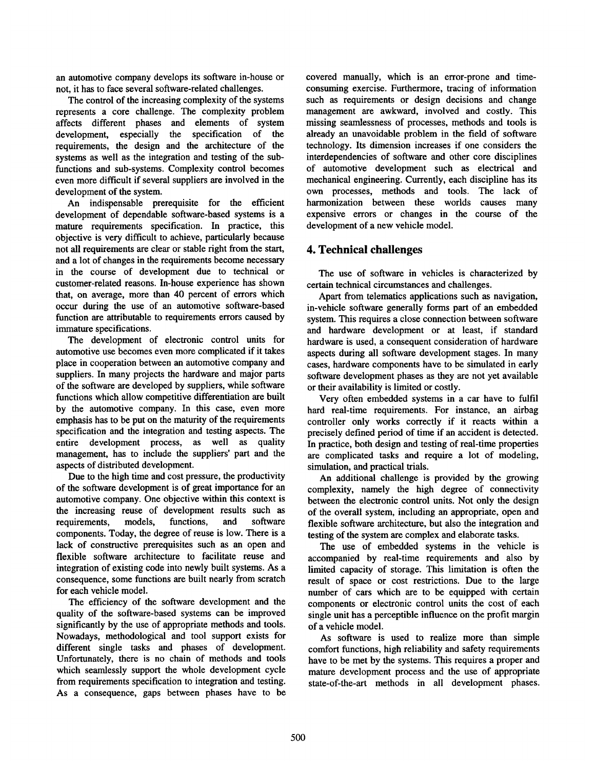an automotive company develops its software in-house or not, it has to face several software-related challenges.

The control of the increasing complexity of the systems represents a core challenge. The complexity problem affects different phases and elements of system development, especially the specification of the requirements, the design and the architecture of the systems as well as the integration and testing of the subfunctions and sub-systems. Complexity control becomes even more difficult if several suppliers are involved in the development of the system.

An indispensable prerequisite for the efficient development of dependable software-based systems is a mature requirements specification. In practice, this objective is very difficult to achieve, particularly because not all requirements are clear or stable right from the start, and a lot of changes in the requirements become necessary in the course of development due to technical or customer-related reasons. In-house experience has shown that, on average, more than 40 percent of errors which occur during the use of an automotive software-based function are attributable to requirements errors caused by immature specifications.

The development of electronic control units for automotive use becomes even more complicated if it takes place in cooperation between an automotive company and suppliers. In many projects the hardware and major parts of the software are developed by suppliers, while software functions which allow competitive differentiation are built by the automotive company. In this case, even more emphasis has to be put on the maturity of the requirements specification and the integration and testing aspects. The entire development process, as well as quality management, has to include the suppliers' part and the aspects of distributed development.

Due to the high time and cost pressure, the productivity of the software development is of great importance for an automotive company. One objective within this context is the increasing reuse of development results such as requirements, models, functions, and software components. Today, the degree of reuse is low. There is a lack of constructive prerequisites such as an open and flexible software architecture to facilitate reuse and integration of existing code into newly built systems. As a consequence, some functions are built nearly from scratch for each vehicle model.

The efficiency of the software development and the quality of the software-based systems can be improved significantly by the use of appropriate methods and tools. Nowadays, methodological and tool support exists for different single tasks and phases of development. Unfortunately, there is no chain of methods and tools which seamlessly support the whole development cycle from requirements specification to integration and testing. As a consequence, gaps between phases have to be covered manually, which is an error-prone and timeconsuming exercise. Furthermore, tracing of information such as requirements or design decisions and change management are awkward, involved and costly. This missing seamlessness of processes, methods and tools is already an unavoidable problem in the field of software technology. Its dimension increases if one considers the interdependencies of software and other core disciplines of automotive development such as electrical and mechanical engineering. Currently, each discipline has its own processes, methods and tools. The lack of harmonization between these worlds causes many expensive errors or changes in the course of the development of a new vehicle model.

# **4. Technical challenges**

The use of software in vehicles is characterized by certain technical circumstances and challenges.

Apart from telematics applications such as navigation, in-vehicle software generally forms part of an embedded system. This requires a close connection between software and hardware development or at least, if standard hardware is used, a consequent consideration of hardware aspects during all software development stages. In many cases, hardware components have to be simulated in early software development phases as they are not yet available or their availability is limited or costly.

Very often embedded systems in a car have to fulfil hard real-time requirements. For instance, an airbag controller only works correctly if it reacts within a precisely defined period of time if an accident is detected. In practice, both design and testing of real-time properties are complicated tasks and require a lot of modeling, simulation, and practical trials.

An additional challenge is provided by the growing complexity, namely the high degree of connectivity between the electronic control units. Not only the design of the overall system, including an appropriate, open and flexible software architecture, but also the integration and testing of the system are complex and elaborate tasks.

The use of embedded systems in the vehicle is accompanied by real-time requirements and also by limited capacity of storage. This limitation is often the result of space or cost restrictions. Due to the large number of cars which are to be equipped with certain components or electronic control units the cost of each single unit has a perceptible influence on the profit margin of a vehicle model.

As software is used to realize more than simple comfort functions, high reliability and safety requirements have to be met by the systems. This requires a proper and mature development process and the use of appropriate state-of-the-art methods in all development phases.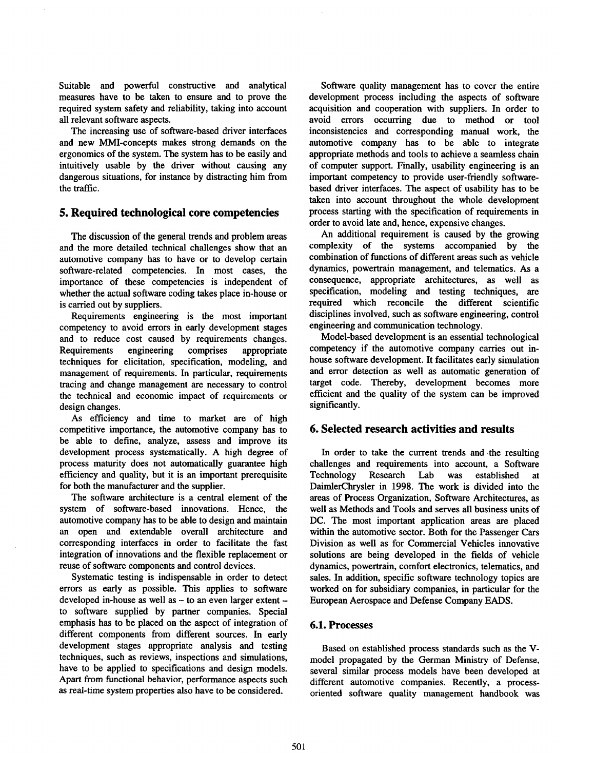Suitable and powerful constructive and analytical measures have to be taken to ensure and to prove the required system safety and reliability, taking into account all relevant software aspects.

The increasing use of software-based driver interfaces and new MMI-concepts makes strong demands on the ergonomics of the system. The system has to be easily and intuitively usable by the driver without causing any ively usable by the driver without causing any dangerous situations, for instance by distracting him from  $\frac{1}{\sqrt{2}}$ 

#### **5. Required technological core competencies**

The discussion of the general trends and problem areas and the more detailed technical challenges show that an automotive company has to have or to develop certain software-related competencies. In most cases, the importance of these competencies is independent of whether the actual software coding takes place in-house or is carried out by suppliers.

Requirements engineering is the most important competency to avoid errors in early development stages competency to avoid critics in early development stages w reduce cost caused by requirements changes. Requirements engineering comprises appropriate<br>techniques for elicitation, specification, modeling, and management of requirements. In particular, requirements tracing and change management are necessary to control to and change management are necessary to control temne and economic impact of requirements or design changes.<br>As efficiency and time to market are of high

competitive importance, the automotive company has to be able to define, analyze, assess and improve its development process systematically. A high degree of process maturity does not automatically guarantee high efficiency and quality, but it is an important prerequisite Technology for both the manufacturer and the supplier.

The software architecture is a central element of the system of software-based innovations. Hence, the automotive company has to be able to design and maintain an open and extendable overall architecture and corresponding interfaces in order to facilitate the fast integration of innovations and the flexible replacement or reuse of software components and control devices.

Systematic testing is indispensable in order to detect errors as early as possible. This applies to software developed in-house as well as  $-$  to an even larger extent  $$ to software supplied by partner companies. Special emphasis has to be placed on the aspect of integration of different components from different sources. In early development stages appropriate analysis and testing techniques, such as reviews, inspections and simulations, have to be applied to specifications and design models. Apart from functional behavior, performance aspects such Apart from functional behavior, performance aspects such as time system properties also have to be considered.

Software quality management has to cover the entire development process including the aspects of software acquisition and cooperation with suppliers. In order to avoid errors occurring due to method or tool inconsistencies and corresponding manual work, the automotive company has to be able to integrate appropriate methods and tools to achieve a seamless chain of computer support. Finally, usability engineering is an important competency to provide user-friendly softwarebased driver interfaces. The aspect of usability has to be taken into account throughout the whole development process starting with the specification of requirements in order to avoid late and, hence, expensive changes.

An additional requirement is caused by the growing. complexity of the systems accompanied by the combination of functions of different areas such as vehicle dynamics, powertrain management, and telematics. As a consequence, appropriate architectures, as well as specification, modeling and testing techniques, are required which reconcile the different scientific disciplines involved, such as software engineering, control engineering and communication technology.

Model-based development is an essential technological competency if the automotive company carries out inhouse software development. It facilitates early simulation and error detection as well as automatic generation of target code. Thereby, development becomes more  $\frac{1}{\sqrt{2}}$  to  $\frac{1}{\sqrt{2}}$  development becomes more ent and the quality of the system can be improved<br>Coordin significantly.

### **6. Selected research activities and results**

 $\frac{1}{2}$  order to take the current trends and the resulting challenges and requirements into account, a Software Technology Research Lab was established at DaimlerChrysler in 1998. The work is divided into the areas of Process Organization, Software Architectures, as well as Methods and Tools and serves all business units of DC. The most important application areas are placed within the automotive sector. Both for the Passenger Cars Division as well as for Commercial Vehicles innovative solutions are being developed in the fields of vehicle dynamics, powertrain, comfort electronics, telematics, and sales. In addition, specific software technology topics are worked on for subsidiary companies, in particular for the wo on for subsidiary companies, in particular for the European Aerospace and Defense Company EADS.

#### **6.1. Processes**

Based on established process standards such as the V-<br>model propagated by the German Ministry of Defense. several similar process models have been developed at different automotive companies. Recently, a processdifferent automotive companies. Recently, a processoriented software quality management handbook was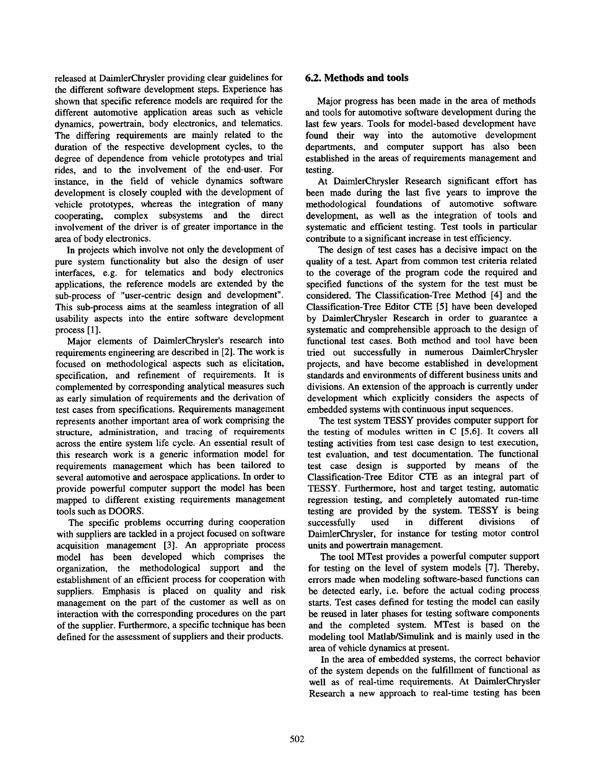released at DaimlerChrysler providing clear guidelines for the different software development steps. Experience has shown that specific reference models are required for the different automotive application areas such as vehicle dynamics, powertrain, body electronics, and telematics. The differing requirements are mainly related to the duration of the respective development cycles, to the degree of dependence from vehicle prototypes and trial rides, and to the involvement of the end-user. For instance, in the field of vehicle dynamics software development is closely coupled with the development of vehicle prototypes, whereas the integration of many cooperating, complex subsystems and the direct involvement of the driver is of greater importance in the area of body electronics.

In projects which involve not only the development of pure system functionality but also the design of user interfaces, e.g. for telematics and body electronics applications, the reference models are extended by the sub-process of "user-centric design and development". This sub-process aims at the seamless integration of all usability aspects into the entire software development process [1].

Major elements of DaimlerChrysler's research into requirements engineering are described in [2]. The work is focused on methodological aspects such as elicitation, specification, and refinement of requirements. It is complemented by corresponding analytical measures such as early simulation of requirements and the derivation of test cases from specifications. Requirements management represents another important area of work comprising the structure, administration, and tracing of requirements across the entire system life cycle. An essential result of this research work is a generic information model for requirements management which has been tailored to several automotive and aerospace applications. In order to provide powerful computer support the model has been mapped to different existing requirements management tools such as DOORS.

The specific problems occurring during cooperation with suppliers are tackled in a project focused on software acquisition management [3]. An appropriate process model has been developed which comprises the organization, the methodological support and the establishment of an efficient process for cooperation with suppliers. Emphasis is placed on quality and risk management on the part of the customer as well as on interaction with the corresponding procedures on the part of the supplier. Furthermore, a specific technique has been defined for the assessment of suppliers and their products.

# **6.2. Methods and tools**

Major progress has been made in the area of methods and tools for automotive software development during the last few years. Tools for model-based development have found their way into the automotive development departments, and computer support has also been established in the areas of requirements management and testing.

At DaimlerChrysler Research significant effort has been made during the last five years to improve the methodological foundations of automotive software development, as well as the integration of tools and systematic and efficient testing. Test tools in particular contribute to a significant increase in test efficiency.

The design of test cases has a decisive impact on the quality of a test. Apart from common test criteria related to the coverage of the program code the required and specified functions of the system for the test must be considered. The Classification-Tree Method [4] and the Classification-Tree Editor CTE [5] have been developed by DaimlerChrysler Research in order to guarantee a systematic and comprehensible approach to the design of functional test cases. Both method and tool have been tried out successfully in numerous DaimlerChrysler projects, and have become established in development standards and environments of different business units and divisions. An extension of the approach is currently under development which explicitly considers the aspects of embedded systems with continuous input sequences.

The test system TESSY provides computer support for the testing of modules written in C [5,6]. It covers all testing activities from test case design to test execution, test evaluation, and test documentation. The functional test case design is supported by means of the Classification-Tree Editor CTE as an integral part of TESSY. Furthermore, host and target testing, automatic regression testing, and completely automated run-time testing are provided by the system. TESSY is being successfully used in different divisions of DaimlerChrysler, for instance for testing motor control units and powertrain management.

The tool MTest provides a powerful computer support for testing on the level of system models [7]. Thereby, errors made when modeling software-based functions can be detected early, i.e. before the actual coding process starts. Test cases defined for testing the model can easily be reused in later phases for testing software components and the completed system. MTest is based on the modeling tool Matlab/Simulink and is mainly used in the area of vehicle dynamics at present.

In the area of embedded systems, the correct behavior of the system depends on the fulfillment of functional as well as of real-time requirements. At DaimlerChrysler Research a new approach to real-time testing has been